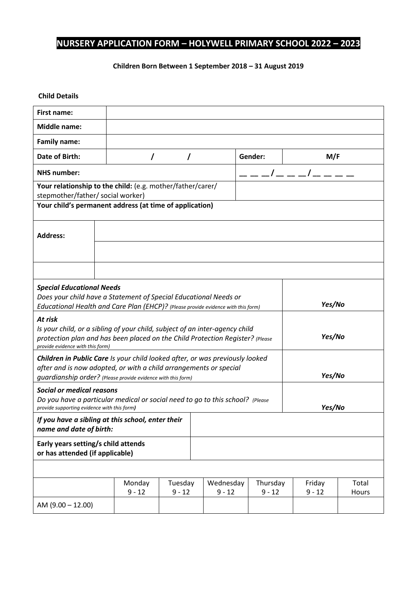## **NURSERY APPLICATION FORM – HOLYWELL PRIMARY SCHOOL 2022 – 2023**

## **Children Born Between 1 September 2018 – 31 August 2019**

## **Child Details**

| <b>First name:</b>                                                                                                                                |          |          |  |           |            |          |       |  |
|---------------------------------------------------------------------------------------------------------------------------------------------------|----------|----------|--|-----------|------------|----------|-------|--|
| <b>Middle name:</b>                                                                                                                               |          |          |  |           |            |          |       |  |
| <b>Family name:</b>                                                                                                                               |          |          |  |           |            |          |       |  |
| <b>Date of Birth:</b>                                                                                                                             |          | T        |  |           | Gender:    | M/F      |       |  |
| <b>NHS number:</b>                                                                                                                                |          |          |  |           | __/___/___ |          |       |  |
| Your relationship to the child: (e.g. mother/father/carer/                                                                                        |          |          |  |           |            |          |       |  |
| stepmother/father/ social worker)                                                                                                                 |          |          |  |           |            |          |       |  |
| Your child's permanent address (at time of application)                                                                                           |          |          |  |           |            |          |       |  |
|                                                                                                                                                   |          |          |  |           |            |          |       |  |
| <b>Address:</b>                                                                                                                                   |          |          |  |           |            |          |       |  |
|                                                                                                                                                   |          |          |  |           |            |          |       |  |
|                                                                                                                                                   |          |          |  |           |            |          |       |  |
|                                                                                                                                                   |          |          |  |           |            |          |       |  |
|                                                                                                                                                   |          |          |  |           |            |          |       |  |
| <b>Special Educational Needs</b>                                                                                                                  |          |          |  |           |            |          |       |  |
| Does your child have a Statement of Special Educational Needs or                                                                                  |          |          |  |           |            |          |       |  |
| Yes/No<br>Educational Health and Care Plan (EHCP)? (Please provide evidence with this form)                                                       |          |          |  |           |            |          |       |  |
| At risk                                                                                                                                           |          |          |  |           |            |          |       |  |
| Is your child, or a sibling of your child, subject of an inter-agency child                                                                       |          |          |  |           |            |          |       |  |
| Yes/No<br>protection plan and has been placed on the Child Protection Register? (Please<br>provide evidence with this form)                       |          |          |  |           |            |          |       |  |
|                                                                                                                                                   |          |          |  |           |            |          |       |  |
| Children in Public Care Is your child looked after, or was previously looked<br>after and is now adopted, or with a child arrangements or special |          |          |  |           |            |          |       |  |
| guardianship order? (Please provide evidence with this form)                                                                                      |          |          |  |           |            | Yes/No   |       |  |
| <b>Social or medical reasons</b>                                                                                                                  |          |          |  |           |            |          |       |  |
| Do you have a particular medical or social need to go to this school? (Please                                                                     |          |          |  |           |            |          |       |  |
| Yes/No<br>provide supporting evidence with this form)                                                                                             |          |          |  |           |            |          |       |  |
| If you have a sibling at this school, enter their                                                                                                 |          |          |  |           |            |          |       |  |
| name and date of birth:                                                                                                                           |          |          |  |           |            |          |       |  |
| Early years setting/s child attends<br>or has attended (if applicable)                                                                            |          |          |  |           |            |          |       |  |
|                                                                                                                                                   |          |          |  |           |            |          |       |  |
|                                                                                                                                                   | Monday   | Tuesday  |  | Wednesday | Thursday   | Friday   | Total |  |
|                                                                                                                                                   | $9 - 12$ | $9 - 12$ |  | $9 - 12$  | $9 - 12$   | $9 - 12$ | Hours |  |
| AM $(9.00 - 12.00)$                                                                                                                               |          |          |  |           |            |          |       |  |